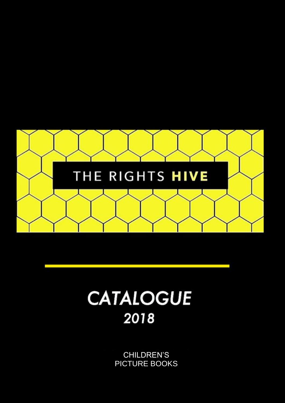

# **CATALOGUE** 2018

CHILDREN'S PICTURE BOOKS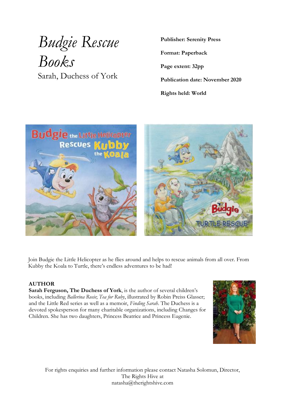# *Budgie Rescue Books* Sarah, Duchess of York

**Publisher: Serenity Press**

**Format: Paperback**

**Page extent: 32pp**

**Publication date: November 2020**

**Rights held: World**



Join Budgie the Little Helicopter as he flies around and helps to rescue animals from all over. From Kubby the Koala to Turtle, there's endless adventures to be had!

### **AUTHOR**

**Sarah Ferguson, The Duchess of York**, is the author of several children's books, including *Ballerina Rosie*; *Tea for Ruby*, illustrated by Robin Preiss Glasser; and the Little Red series as well as a memoir, *Finding Sarah*. The Duchess is a devoted spokesperson for many charitable organizations, including Changes for Children. She has two daughters, Princess Beatrice and Princess Eugenie.

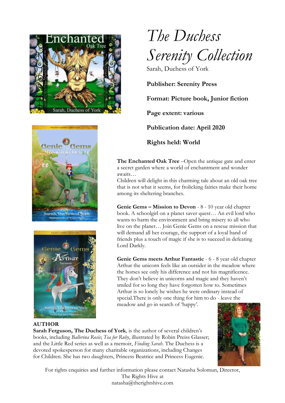





# *The Duchess Serenity Collection* Sarah, Duchess of York

**Publisher: Serenity Press**

**Format: Picture book, Junior fiction**

**Page extent: various**

**Publication date: April 2020**

**Rights held: World**

**The Enchanted Oak Tree** –Open the antique gate and enter a secret garden where a world of enchantment and wonder awaits…

Children will delight in this charming tale about an old oak tree that is not what it seems, for frolicking fairies make their home among its sheltering branches.

**Genie Gems – Mission to Devon** - 8 - 10 year old chapter book. A schoolgirl on a planet saver quest… An evil lord who wants to harm the environment and bring misery to all who live on the planet… Join Genie Gems on a rescue mission that will demand all her courage, the support of a loyal band of friends plus a touch of magic if she is to succeed in defeating Lord Darkly.

**Genie Gems meets Arthur Fantastic** - 6 - 8 year old chapter Arthur the unicorn feels like an outsider in the meadow where the horses see only his difference and not his magnificence. They don't believe in unicorns and magic and they haven't smiled for so long they have forgotten how to. Sometimes Arthur is so lonely he wishes he were ordinary instead of special.There is only one thing for him to do - leave the meadow and go in search of 'happy'.

**AUTHOR**

**Sarah Ferguson, The Duchess of York**, is the author of several children's books, including *Ballerina Rosie*; *Tea for Ruby*, illustrated by Robin Preiss Glasser; and the Little Red series as well as a memoir, *Finding Sarah*. The Duchess is a devoted spokesperson for many charitable organizations, including Changes for Children. She has two daughters, Princess Beatrice and Princess Eugenie.

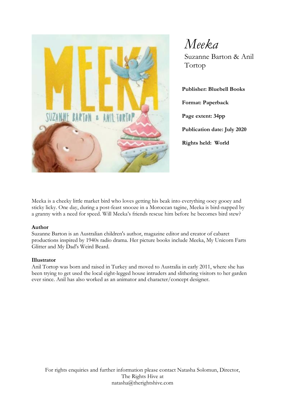

*Meeka* Suzanne Barton & Anil Tortop

**Publisher: Bluebell Books Format: Paperback Page extent: 34pp Publication date: July 2020 Rights held: World**

Meeka is a cheeky little market bird who loves getting his beak into everything ooey gooey and sticky licky. One day, during a post-feast snooze in a Moroccan tagine, Meeka is bird-napped by a granny with a need for speed. Will Meeka's friends rescue him before he becomes bird stew?

#### **Author**

Suzanne Barton is an Australian children's author, magazine editor and creator of cabaret productions inspired by 1940s radio drama. Her picture books include Meeka, My Unicorn Farts Glitter and My Dad's Weird Beard.

#### **Illustrator**

Anil Tortop was born and raised in Turkey and moved to Australia in early 2011, where she has been trying to get used the local eight-legged house intruders and slithering visitors to her garden ever since. Anil has also worked as an animator and character/concept designer.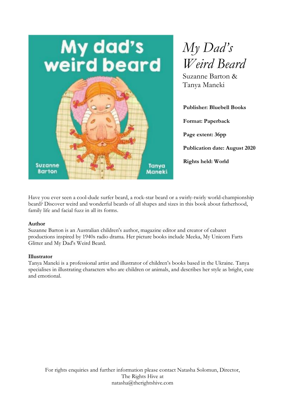



Suzanne Barton & Tanya Maneki

**Publisher: Bluebell Books Format: Paperback Page extent: 36pp Publication date: August 2020 Rights held: World**

Have you ever seen a cool-dude surfer beard, a rock-star beard or a swirly-twirly world-championship beard? Discover weird and wonderful beards of all shapes and sizes in this book about fatherhood, family life and facial fuzz in all its forms.

#### **Author**

Suzanne Barton is an Australian children's author, magazine editor and creator of cabaret productions inspired by 1940s radio drama. Her picture books include Meeka, My Unicorn Farts Glitter and My Dad's Weird Beard.

#### **Illustrator**

Tanya Maneki is a professional artist and illustrator of children's books based in the Ukraine. Tanya specialises in illustrating characters who are children or animals, and describes her style as bright, cute and emotional.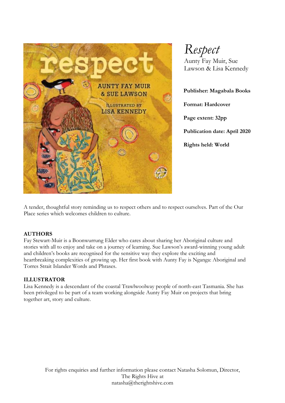

*Respect*

Aunty Fay Muir, Sue Lawson & Lisa Kennedy

**Publisher: Magabala Books**

**Format: Hardcover**

**Page extent: 32pp**

**Publication date: April 2020**

**Rights held: World**

A tender, thoughtful story reminding us to respect others and to respect ourselves. Part of the Our Place series which welcomes children to culture.

### **AUTHORS**

Fay Stewart-Muir is a Boonwurrung Elder who cares about sharing her Aboriginal culture and stories with all to enjoy and take on a journey of learning. Sue Lawson's award-winning young adult and children's books are recognised for the sensitive way they explore the exciting and heartbreaking complexities of growing up. Her first book with Aunty Fay is Nganga: Aboriginal and Torres Strait Islander Words and Phrases.

### **ILLUSTRATOR**

Lisa Kennedy is a descendant of the coastal Trawlwoolway people of north-east Tasmania. She has been privileged to be part of a team working alongside Aunty Fay Muir on projects that bring together art, story and culture.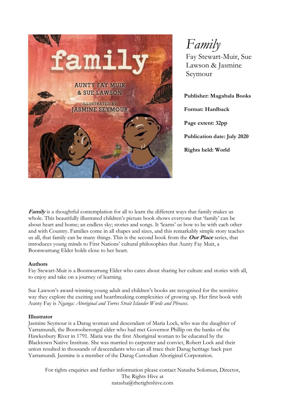

*Family*

Fay Stewart-Muir, Sue Lawson & Jasmine Seymour

**Publisher: Magabala Books**

**Format: Hardback Page extent: 32pp Publication date: July 2020 Rights held: World**

Family is a thoughtful contemplation for all to learn the different ways that family makes us whole. This beautifully illustrated children's picture book shows everyone that 'family' can be about heart and home; an endless sky; stories and songs. It 'learns' us how to be with each other and with Country. Families come in all shapes and sizes, and this remarkably simple story teaches us all, that family can be many things. This is the second book from the **Our Place** series, that introduces young minds to First Nations' cultural philosophies that Aunty Fay Muir, a Boonwurrung Elder holds close to her heart.

#### **Authors**

Fay Stewart-Muir is a Boonwurrung Elder who cares about sharing her culture and stories with all, to enjoy and take on a journey of learning.

Sue Lawson's award-winning young adult and children's books are recognised for the sensitive way they explore the exciting and heartbreaking complexities of growing up. Her first book with Aunty Fay is *Nganga: Aboriginal and Torres Strait Islander Words and Phrases*.

#### **Illustrator**

Jasmine Seymour is a Darug woman and descendant of Maria Lock, who was the daughter of Yarramundi, the Boorooberongal elder who had met Governor Phillip on the banks of the Hawkesbury River in 1791. Maria was the first Aboriginal woman to be educated by the Blacktown Native Institute. She was married to carpenter and convict, Robert Lock and their union resulted in thousands of descendants who can all trace their Darug heritage back past Yarramundi. Jasmine is a member of the Darug Custodian Aboriginal Corporation.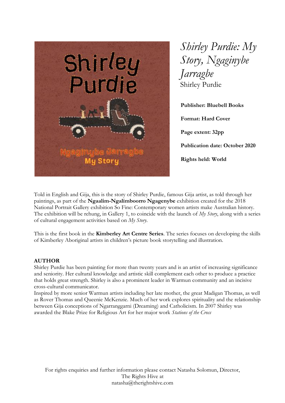

*Shirley Purdie: My Story, Ngaginybe Jarragbe* Shirley Purdie

**Publisher: Bluebell Books Format: Hard Cover Page extent: 32pp Publication date: October 2020 Rights held: World**

Told in English and Gija, this is the story of Shirley Purdie, famous Gija artist, as told through her paintings, as part of the **Ngaalim-Ngalimboorro Ngagenybe** exhibition created for the 2018 National Portrait Gallery exhibition So Fine: Contemporary women artists make Australian history. The exhibition will be rehung, in Gallery 1, to coincide with the launch of *My Story*, along with a series of cultural engagement activities based on *My Story*.

This is the first book in the **Kimberley Art Centre Series**. The series focuses on developing the skills of Kimberley Aboriginal artists in children's picture book storytelling and illustration.

### **AUTHOR**

Shirley Purdie has been painting for more than twenty years and is an artist of increasing significance and seniority. Her cultural knowledge and artistic skill complement each other to produce a practice that holds great strength. Shirley is also a prominent leader in Warmun community and an incisive cross-cultural communicator.

Inspired by more senior Warmun artists including her late mother, the great Madigan Thomas, as well as Rover Thomas and Queenie McKenzie. Much of her work explores spirituality and the relationship between Gija conceptions of Ngarranggarni (Dreaming) and Catholicism. In 2007 Shirley was awarded the Blake Prize for Religious Art for her major work *Stations of the Cross*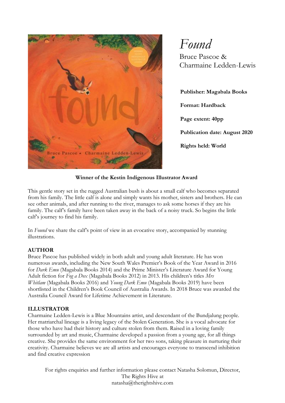

*Found*

Bruce Pascoe & Charmaine Ledden-Lewis

**Publisher: Magabala Books Format: Hardback Page extent: 40pp Publication date: August 2020 Rights held: World**

**Winner of the Kestin Indigenous Illustrator Award**

This gentle story set in the rugged Australian bush is about a small calf who becomes separated from his family. The little calf is alone and simply wants his mother, sisters and brothers. He can see other animals, and after running to the river, manages to ask some horses if they are his family. The calf's family have been taken away in the back of a noisy truck. So begins the little calf's journey to find his family.

In *Found* we share the calf's point of view in an evocative story, accompanied by stunning illustrations.

### **AUTHOR**

Bruce Pascoe has published widely in both adult and young adult literature. He has won numerous awards, including the New South Wales Premier's Book of the Year Award in 2016 for *Dark Emu* (Magabala Books 2014) and the Prime Minister's Literature Award for Young Adult fiction for *Fog a Dox* (Magabala Books 2012) in 2013. His children's titles *Mrs Whitlam* (Magabala Books 2016) and *Young Dark Emu* (Magabala Books 2019) have been shortlisted in the Children's Book Council of Australia Awards. In 2018 Bruce was awarded the Australia Council Award for Lifetime Achievement in Literature.

### **ILLUSTRATOR**

Charmaine Ledden-Lewis is a Blue Mountains artist, and descendant of the Bundjalung people. Her matriarchal lineage is a living legacy of the Stolen Generation. She is a vocal advocate for those who have had their history and culture stolen from them. Raised in a loving family surrounded by art and music, Charmaine developed a passion from a young age, for all things creative. She provides the same environment for her two sons, taking pleasure in nurturing their creativity. Charmaine believes we are all artists and encourages everyone to transcend inhibition and find creative expression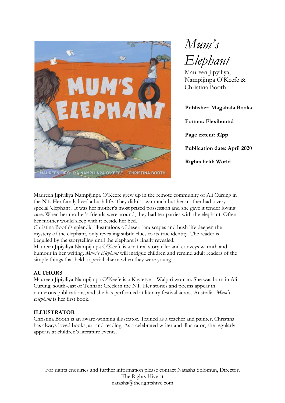

*Mum's Elephant*

Maureen Jipyiliya, Nampijinpa O'Keefe & Christina Booth

**Publisher: Magabala Books Format: Flexibound Page extent: 32pp Publication date: April 2020 Rights held: World**

Maureen Jipiyiliya Nampijinpa O'Keefe grew up in the remote community of Ali Curung in the NT. Her family lived a bush life. They didn't own much but her mother had a very special 'elephant'. It was her mother's most prized possession and she gave it tender loving care. When her mother's friends were around, they had tea-parties with the elephant. Often her mother would sleep with it beside her bed.

Christina Booth's splendid illustrations of desert landscapes and bush life deepen the mystery of the elephant, only revealing subtle clues to its true identity. The reader is beguiled by the storytelling until the elephant is finally revealed.

Maureen Jipiyiliya Nampijinpa O'Keefe is a natural storyteller and conveys warmth and humour in her writing. *Mum's Elephant* will intrigue children and remind adult readers of the simple things that held a special charm when they were young.

### **AUTHORS**

Maureen Jipiyiliya Nampijinpa O'Keefe is a Kaytetye—Walpiri woman. She was born in Ali Curung, south-east of Tennant Creek in the NT. Her stories and poems appear in numerous publications, and she has performed at literary festival across Australia. *Mum's Elephant* is her first book.

### **ILLUSTRATOR**

Christina Booth is an award-winning illustrator. Trained as a teacher and painter, Christina has always loved books, art and reading. As a celebrated writer and illustrator, she regularly appears at children's literature events.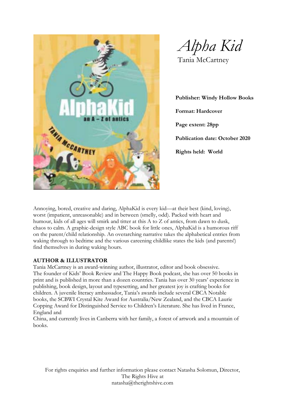

*Alpha Kid* Tania McCartney

**Publisher: Windy Hollow Books Format: Hardcover Page extent: 28pp Publication date: October 2020 Rights held: World**

Annoying, bored, creative and daring, AlphaKid is every kid—at their best (kind, loving), worst (impatient, unreasonable) and in between (smelly, odd). Packed with heart and humour, kids of all ages will smirk and titter at this A to Z of antics, from dawn to dusk, chaos to calm. A graphic-design style ABC book for little ones, AlphaKid is a humorous riff on the parent/child relationship. An overarching narrative takes the alphabetical entries from waking through to bedtime and the various careening childlike states the kids (and parents!) find themselves in during waking hours.

#### **AUTHOR & ILLUSTRATOR**

Tania McCartney is an award-winning author, illustrator, editor and book obsessive. The founder of Kids' Book Review and The Happy Book podcast, she has over 50 books in print and is published in more than a dozen countries. Tania has over 30 years' experience in publishing, book design, layout and typesetting, and her greatest joy is crafting books for children. A juvenile literacy ambassador, Tania's awards include several CBCA Notable books, the SCBWI Crystal Kite Award for Australia/New Zealand, and the CBCA Laurie Copping Award for Distinguished Service to Children's Literature. She has lived in France, England and

China, and currently lives in Canberra with her family, a forest of artwork and a mountain of books.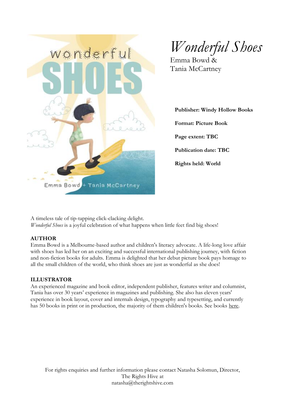

*Wonderful Shoes*

Emma Bowd & Tania McCartney

**Publisher: Windy Hollow Books Format: Picture Book Page extent: TBC Publication date: TBC Rights held: World**

A timeless tale of tip-tapping click-clacking delight. *Wonderful Shoes* is a joyful celebration of what happens when little feet find big shoes!

### **AUTHOR**

Emma Bowd is a Melbourne-based author and children's literacy advocate. A life-long love affair with shoes has led her on an exciting and successful international publishing journey, with fiction and non-fiction books for adults. Emma is delighted that her debut picture book pays homage to all the small children of the world, who think shoes are just as wonderful as she does!

### **ILLUSTRATOR**

An experienced magazine and book editor, independent publisher, features writer and columnist, Tania has over 30 years' experience in magazines and publishing. She also has eleven years' experience in book layout, cover and internals design, typography and typesetting, and currently has 50 books in print or in production, the majority of them children's books. See books here.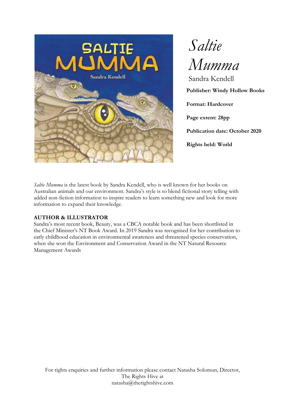

*Saltie Mumma* Sandra Kendell **Publisher: Windy Hollow Books Format: Hardcover Page extent: 28pp Publication date: October 2020 Rights held: World**

*Saltie Mumma* is the latest book by Sandra Kendell, who is well known for her books on Australian animals and our environment. Sandra's style is to blend fictional story telling with added non-fiction information to inspire readers to learn something new and look for more information to expand their knowledge.

### **AUTHOR & ILLUSTRATOR**

Sandra's most recent book, Beauty, was a CBCA notable book and has been shortlisted in the Chief Minister's NT Book Award. In 2019 Sandra was recognised for her contribution to early childhood education in environmental awareness and threatened species conservation, when she won the Environment and Conservation Award in the NT Natural Resource Management Awards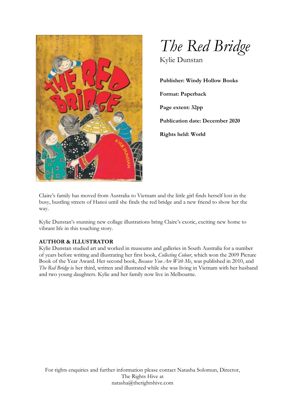



Kylie Dunstan

**Publisher: Windy Hollow Books Format: Paperback Page extent: 32pp Publication date: December 2020 Rights held: World**

Claire's family has moved from Australia to Vietnam and the little girl finds herself lost in the busy, bustling streets of Hanoi until she finds the red bridge and a new friend to show her the way.

Kylie Dunstan's stunning new collage illustrations bring Claire's exotic, exciting new home to vibrant life in this touching story.

### **AUTHOR & ILLUSTRATOR**

Kylie Dunstan studied art and worked in museums and galleries in South Australia for a number of years before writing and illustrating her first book, *Collecting Colour*, which won the 2009 Picture Book of the Year Award. Her second book, *Because You Are With Me*, was published in 2010, and *The Red Bridge* is her third, written and illustrated while she was living in Vietnam with her husband and two young daughters. Kylie and her family now live in Melbourne.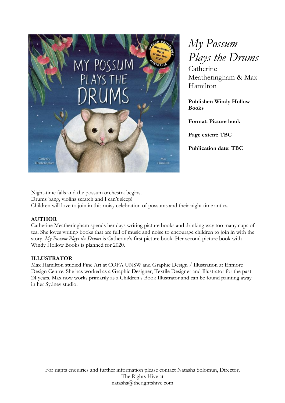

*My Possum Plays the Drums* Catherine Meatheringham & Max Hamilton

**Publisher: Windy Hollow Books**

**Format: Picture book**

**Page extent: TBC**

**Publication date: TBC**

**Rights held:** 

Night-time falls and the possum orchestra begins. Drums bang, violins scratch and I can't sleep! Children will love to join in this noisy celebration of possums and their night time antics.

# **AUTHOR**

Catherine Meatheringham spends her days writing picture books and drinking way too many cups of tea. She loves writing books that are full of music and noise to encourage children to join in with the story. *My Possum Plays the Drums* is Catherine's first picture book. Her second picture book with Windy Hollow Books is planned for 2020.

# **ILLUSTRATOR**

Max Hamilton studied Fine Art at COFA UNSW and Graphic Design / Illustration at Enmore Design Centre. She has worked as a Graphic Designer, Textile Designer and Illustrator for the past 24 years. Max now works primarily as a Children's Book Illustrator and can be found painting away in her Sydney studio.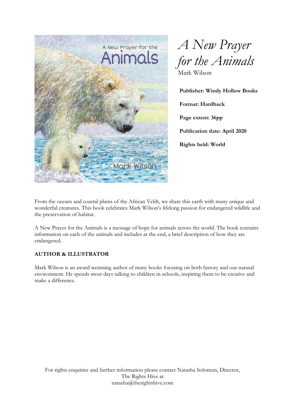



**Publisher: Windy Hollow Books Format: Hardback Page extent: 36pp Publication date: April 2020 Rights held: World**

From the oceans and coastal plains of the African Veldt, we share this earth with many unique and wonderful creatures. This book celebrates Mark Wilson's lifelong passion for endangered wildlife and the preservation of habitat.

A New Prayer for the Animals is a message of hope for animals across the world. The book contains information on each of the animals and includes at the end, a brief description of how they are endangered.

### **AUTHOR & ILLUSTRATOR**

Mark Wilson is an award weinning author of many books focusing on both history and our natural environment. He spends most days talking to children in schools, inspiring them to be creative and make a difference.